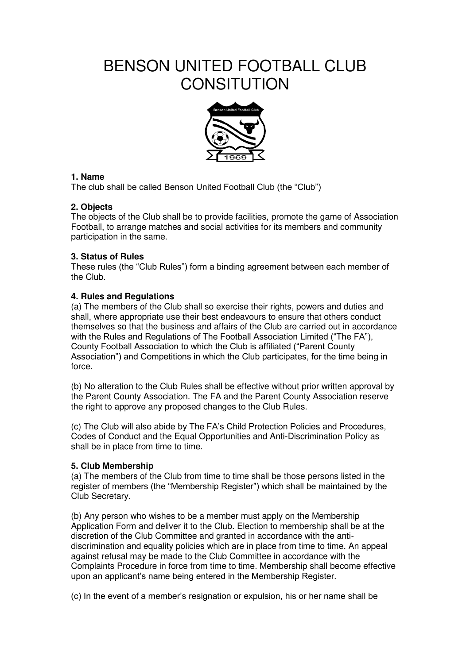# BENSON UNITED FOOTBALL CLUB **CONSITUTION**



# **1. Name**

The club shall be called Benson United Football Club (the "Club")

# **2. Objects**

The objects of the Club shall be to provide facilities, promote the game of Association Football, to arrange matches and social activities for its members and community participation in the same.

# **3. Status of Rules**

These rules (the "Club Rules") form a binding agreement between each member of the Club.

# **4. Rules and Regulations**

(a) The members of the Club shall so exercise their rights, powers and duties and shall, where appropriate use their best endeavours to ensure that others conduct themselves so that the business and affairs of the Club are carried out in accordance with the Rules and Regulations of The Football Association Limited ("The FA"), County Football Association to which the Club is affiliated ("Parent County Association") and Competitions in which the Club participates, for the time being in force.

(b) No alteration to the Club Rules shall be effective without prior written approval by the Parent County Association. The FA and the Parent County Association reserve the right to approve any proposed changes to the Club Rules.

(c) The Club will also abide by The FA's Child Protection Policies and Procedures, Codes of Conduct and the Equal Opportunities and Anti-Discrimination Policy as shall be in place from time to time.

## **5. Club Membership**

(a) The members of the Club from time to time shall be those persons listed in the register of members (the "Membership Register") which shall be maintained by the Club Secretary.

(b) Any person who wishes to be a member must apply on the Membership Application Form and deliver it to the Club. Election to membership shall be at the discretion of the Club Committee and granted in accordance with the antidiscrimination and equality policies which are in place from time to time. An appeal against refusal may be made to the Club Committee in accordance with the Complaints Procedure in force from time to time. Membership shall become effective upon an applicant's name being entered in the Membership Register.

(c) In the event of a member's resignation or expulsion, his or her name shall be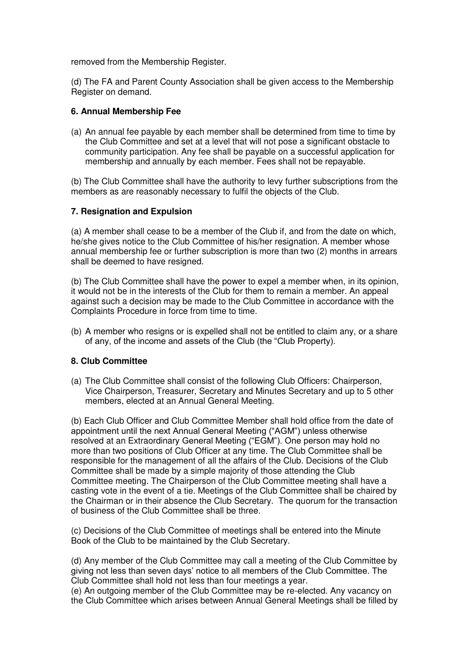removed from the Membership Register.

(d) The FA and Parent County Association shall be given access to the Membership Register on demand.

#### **6. Annual Membership Fee**

(a) An annual fee payable by each member shall be determined from time to time by the Club Committee and set at a level that will not pose a significant obstacle to community participation. Any fee shall be payable on a successful application for membership and annually by each member. Fees shall not be repayable.

(b) The Club Committee shall have the authority to levy further subscriptions from the members as are reasonably necessary to fulfil the objects of the Club.

#### **7. Resignation and Expulsion**

(a) A member shall cease to be a member of the Club if, and from the date on which, he/she gives notice to the Club Committee of his/her resignation. A member whose annual membership fee or further subscription is more than two (2) months in arrears shall be deemed to have resigned.

(b) The Club Committee shall have the power to expel a member when, in its opinion, it would not be in the interests of the Club for them to remain a member. An appeal against such a decision may be made to the Club Committee in accordance with the Complaints Procedure in force from time to time.

(b) A member who resigns or is expelled shall not be entitled to claim any, or a share of any, of the income and assets of the Club (the "Club Property).

## **8. Club Committee**

(a) The Club Committee shall consist of the following Club Officers: Chairperson, Vice Chairperson, Treasurer, Secretary and Minutes Secretary and up to 5 other members, elected at an Annual General Meeting.

(b) Each Club Officer and Club Committee Member shall hold office from the date of appointment until the next Annual General Meeting ("AGM") unless otherwise resolved at an Extraordinary General Meeting ("EGM"). One person may hold no more than two positions of Club Officer at any time. The Club Committee shall be responsible for the management of all the affairs of the Club. Decisions of the Club Committee shall be made by a simple majority of those attending the Club Committee meeting. The Chairperson of the Club Committee meeting shall have a casting vote in the event of a tie. Meetings of the Club Committee shall be chaired by the Chairman or in their absence the Club Secretary. The quorum for the transaction of business of the Club Committee shall be three.

(c) Decisions of the Club Committee of meetings shall be entered into the Minute Book of the Club to be maintained by the Club Secretary.

(d) Any member of the Club Committee may call a meeting of the Club Committee by giving not less than seven days' notice to all members of the Club Committee. The Club Committee shall hold not less than four meetings a year.

(e) An outgoing member of the Club Committee may be re-elected. Any vacancy on the Club Committee which arises between Annual General Meetings shall be filled by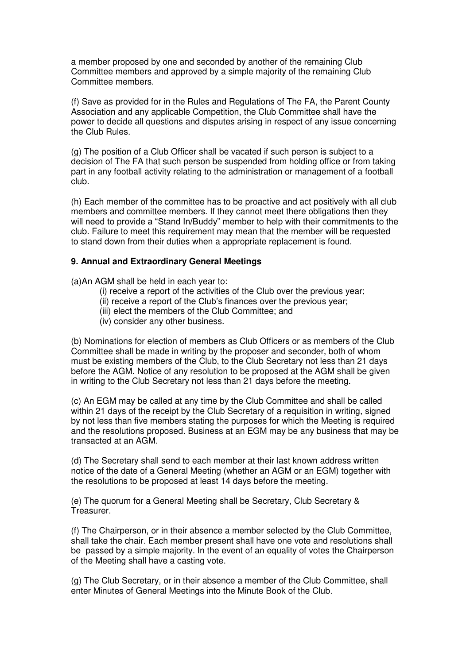a member proposed by one and seconded by another of the remaining Club Committee members and approved by a simple majority of the remaining Club Committee members.

(f) Save as provided for in the Rules and Regulations of The FA, the Parent County Association and any applicable Competition, the Club Committee shall have the power to decide all questions and disputes arising in respect of any issue concerning the Club Rules.

(g) The position of a Club Officer shall be vacated if such person is subject to a decision of The FA that such person be suspended from holding office or from taking part in any football activity relating to the administration or management of a football club.

(h) Each member of the committee has to be proactive and act positively with all club members and committee members. If they cannot meet there obligations then they will need to provide a "Stand In/Buddy" member to help with their commitments to the club. Failure to meet this requirement may mean that the member will be requested to stand down from their duties when a appropriate replacement is found.

## **9. Annual and Extraordinary General Meetings**

(a)An AGM shall be held in each year to:

- (i) receive a report of the activities of the Club over the previous year;
- (ii) receive a report of the Club's finances over the previous year;
- (iii) elect the members of the Club Committee; and
- (iv) consider any other business.

(b) Nominations for election of members as Club Officers or as members of the Club Committee shall be made in writing by the proposer and seconder, both of whom must be existing members of the Club, to the Club Secretary not less than 21 days before the AGM. Notice of any resolution to be proposed at the AGM shall be given in writing to the Club Secretary not less than 21 days before the meeting.

(c) An EGM may be called at any time by the Club Committee and shall be called within 21 days of the receipt by the Club Secretary of a requisition in writing, signed by not less than five members stating the purposes for which the Meeting is required and the resolutions proposed. Business at an EGM may be any business that may be transacted at an AGM.

(d) The Secretary shall send to each member at their last known address written notice of the date of a General Meeting (whether an AGM or an EGM) together with the resolutions to be proposed at least 14 days before the meeting.

(e) The quorum for a General Meeting shall be Secretary, Club Secretary & Treasurer.

(f) The Chairperson, or in their absence a member selected by the Club Committee, shall take the chair. Each member present shall have one vote and resolutions shall be passed by a simple majority. In the event of an equality of votes the Chairperson of the Meeting shall have a casting vote.

(g) The Club Secretary, or in their absence a member of the Club Committee, shall enter Minutes of General Meetings into the Minute Book of the Club.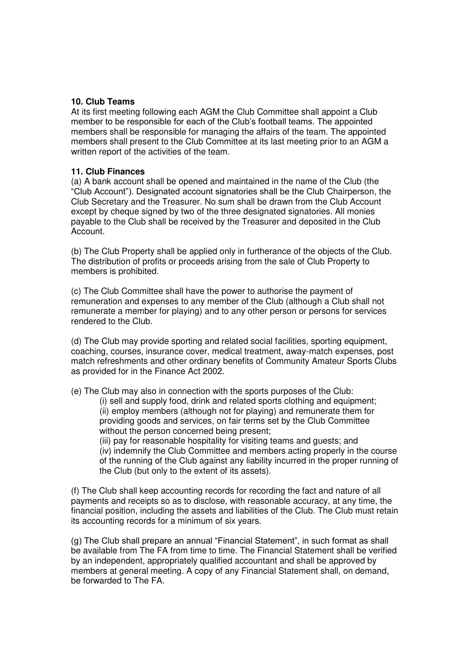#### **10. Club Teams**

At its first meeting following each AGM the Club Committee shall appoint a Club member to be responsible for each of the Club's football teams. The appointed members shall be responsible for managing the affairs of the team. The appointed members shall present to the Club Committee at its last meeting prior to an AGM a written report of the activities of the team.

#### **11. Club Finances**

(a) A bank account shall be opened and maintained in the name of the Club (the "Club Account"). Designated account signatories shall be the Club Chairperson, the Club Secretary and the Treasurer. No sum shall be drawn from the Club Account except by cheque signed by two of the three designated signatories. All monies payable to the Club shall be received by the Treasurer and deposited in the Club Account.

(b) The Club Property shall be applied only in furtherance of the objects of the Club. The distribution of profits or proceeds arising from the sale of Club Property to members is prohibited.

(c) The Club Committee shall have the power to authorise the payment of remuneration and expenses to any member of the Club (although a Club shall not remunerate a member for playing) and to any other person or persons for services rendered to the Club.

(d) The Club may provide sporting and related social facilities, sporting equipment, coaching, courses, insurance cover, medical treatment, away-match expenses, post match refreshments and other ordinary benefits of Community Amateur Sports Clubs as provided for in the Finance Act 2002.

(e) The Club may also in connection with the sports purposes of the Club:

(i) sell and supply food, drink and related sports clothing and equipment; (ii) employ members (although not for playing) and remunerate them for providing goods and services, on fair terms set by the Club Committee without the person concerned being present;

(iii) pay for reasonable hospitality for visiting teams and guests; and (iv) indemnify the Club Committee and members acting properly in the course of the running of the Club against any liability incurred in the proper running of the Club (but only to the extent of its assets).

(f) The Club shall keep accounting records for recording the fact and nature of all payments and receipts so as to disclose, with reasonable accuracy, at any time, the financial position, including the assets and liabilities of the Club. The Club must retain its accounting records for a minimum of six years.

(g) The Club shall prepare an annual "Financial Statement", in such format as shall be available from The FA from time to time. The Financial Statement shall be verified by an independent, appropriately qualified accountant and shall be approved by members at general meeting. A copy of any Financial Statement shall, on demand, be forwarded to The FA.